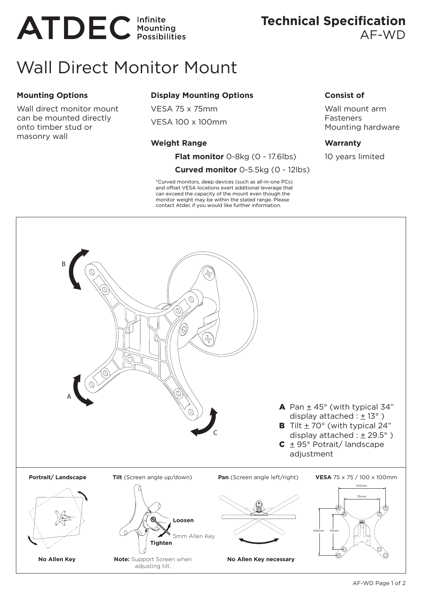# **ATDEC** Infinite

## Wall Direct Monitor Mount

#### **Mounting Options**

Wall direct monitor mount can be mounted directly onto timber stud or masonry wall

#### **Display Mounting Options**

VESA 75 x 75mm VESA 100 x 100mm

#### **Weight Range**

**Flat monitor** 0-8kg (0 - 17.6lbs)

#### **Curved monitor** 0-5.5kg (0 - 12lbs)

\*Curved monitors, deep devices (such as all-in-one PCs) and offset VESA locations exert additional leverage that can exceed the capacity of the mount even though the monitor weight may be within the stated range. Please contact Atdec if you would like further information.

#### **Consist of**

Wall mount arm **Fasteners** Mounting hardware

#### **Warranty**

10 years limited



### **Technical Specification**  AF-WD